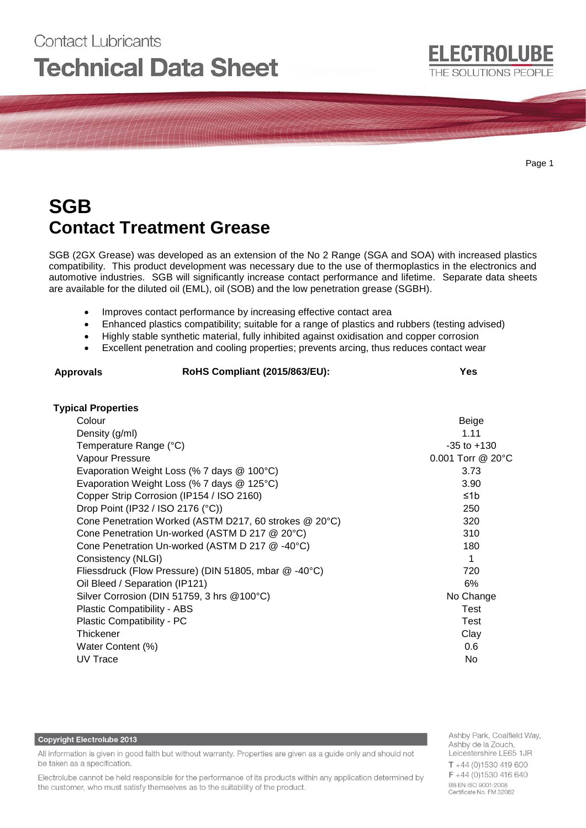# Contact Lubricants **Technical Data Sheet**

Certificate No. FM 32082

Ashby Park, Coalfield Way,

#### **Copyright Electrolube 2013**

All information is given in good faith but without warranty. Properties are given as a guide only and should not be taken as a specification.

Electrolube cannot be held responsible for the performance of its products within any application determined by the customer, who must satisfy themselves as to the suitability of the product.

## **SGB Contact Treatment Grease**

SGB (2GX Grease) was developed as an extension of the No 2 Range (SGA and SOA) with increased plastics compatibility. This product development was necessary due to the use of thermoplastics in the electronics and automotive industries. SGB will significantly increase contact performance and lifetime. Separate data sheets are available for the diluted oil (EML), oil (SOB) and the low penetration grease (SGBH).

- Improves contact performance by increasing effective contact area
- Enhanced plastics compatibility; suitable for a range of plastics and rubbers (testing advised)
- Highly stable synthetic material, fully inhibited against oxidisation and copper corrosion
- Excellent penetration and cooling properties; prevents arcing, thus reduces contact wear

#### Approvals **RoHS Compliant (2015/863/EU):** Yes

#### **Typical Properties**

| Colour                                                 | Beige             |
|--------------------------------------------------------|-------------------|
| Density (g/ml)                                         | 1.11              |
| Temperature Range (°C)                                 | $-35$ to $+130$   |
| Vapour Pressure                                        | 0.001 Torr @ 20°C |
| Evaporation Weight Loss (% 7 days @ 100°C)             | 3.73              |
| Evaporation Weight Loss (% 7 days @ 125°C)             | 3.90              |
| Copper Strip Corrosion (IP154 / ISO 2160)              | ≤1b               |
| Drop Point (IP32 / ISO 2176 (°C))                      | 250               |
| Cone Penetration Worked (ASTM D217, 60 strokes @ 20°C) | 320               |
| Cone Penetration Un-worked (ASTM D 217 @ 20°C)         | 310               |
| Cone Penetration Un-worked (ASTM D 217 @ -40°C)        | 180               |
| Consistency (NLGI)                                     | 1                 |
| Fliessdruck (Flow Pressure) (DIN 51805, mbar @ -40°C)  | 720               |
| Oil Bleed / Separation (IP121)                         | 6%                |
| Silver Corrosion (DIN 51759, 3 hrs @100°C)             | No Change         |
| Plastic Compatibility - ABS                            | Test              |
| Plastic Compatibility - PC                             | Test              |
| Thickener                                              | Clay              |
| Water Content (%)                                      | 0.6               |
| <b>UV Trace</b>                                        | No                |
|                                                        |                   |

### **ELECTROLUBE** THE SOLUTIONS PEOPLE

Page 1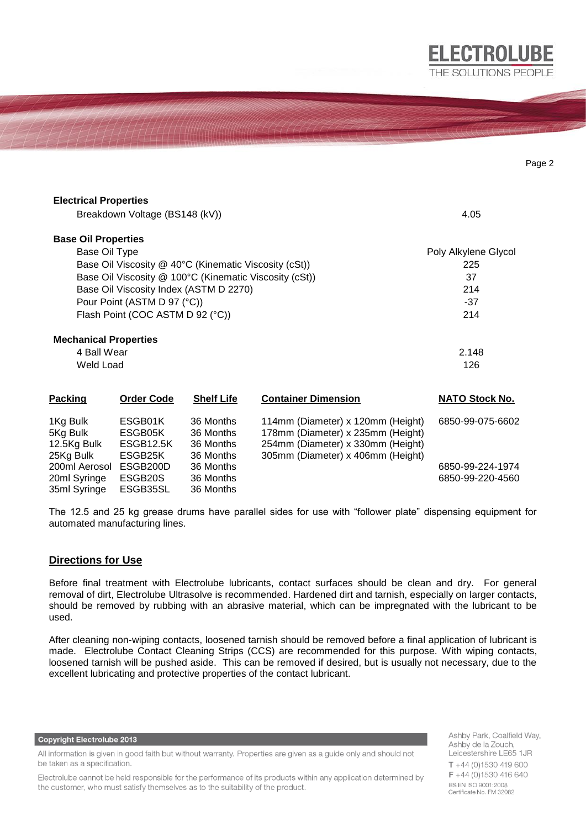| <b>Electrical Properties</b>                                    |                                 |                                     |                                                                                                             |                       |
|-----------------------------------------------------------------|---------------------------------|-------------------------------------|-------------------------------------------------------------------------------------------------------------|-----------------------|
|                                                                 | Breakdown Voltage (BS148 (kV))  |                                     |                                                                                                             | 4.05                  |
|                                                                 |                                 |                                     |                                                                                                             |                       |
| <b>Base Oil Properties</b>                                      |                                 |                                     |                                                                                                             |                       |
| Base Oil Type                                                   |                                 |                                     | Poly Alkylene Glycol                                                                                        |                       |
| Base Oil Viscosity @ 40°C (Kinematic Viscosity (cSt))           |                                 |                                     | 225                                                                                                         |                       |
| Base Oil Viscosity @ 100°C (Kinematic Viscosity (cSt))          |                                 |                                     | 37                                                                                                          |                       |
| Base Oil Viscosity Index (ASTM D 2270)                          |                                 |                                     | 214                                                                                                         |                       |
| Pour Point (ASTM D 97 (°C))                                     |                                 |                                     | $-37$                                                                                                       |                       |
| Flash Point (COC ASTM D 92 (°C))                                |                                 |                                     | 214                                                                                                         |                       |
| <b>Mechanical Properties</b><br>4 Ball Wear<br><b>Weld Load</b> |                                 |                                     |                                                                                                             | 2.148<br>126          |
| <b>Packing</b>                                                  | <b>Order Code</b>               | <b>Shelf Life</b>                   | <b>Container Dimension</b>                                                                                  | <b>NATO Stock No.</b> |
| 1Kg Bulk<br>5Kg Bulk<br>12.5Kg Bulk                             | ESGB01K<br>ESGB05K<br>ESGB12.5K | 36 Months<br>36 Months<br>36 Months | 114mm (Diameter) x 120mm (Height)<br>178mm (Diameter) x 235mm (Height)<br>254mm (Diameter) x 330mm (Height) | 6850-99-075-6602      |

The 12.5 and 25 kg grease drums have parallel sides for use with "follower plate" dispensing equipment for automated manufacturing lines.

200ml Aerosol ESGB200D 36 Months 6850-99-224-1974 20ml Syringe ESGB20S 36 Months 6850-99-220-4560<br>35ml Svringe ESGB35SL 36 Months

25Kg Bulk ESGB25K 36 Months 305mm (Diameter) x 406mm (Height)

#### **Directions for Use**

35ml Syringe ESGB35SL

Before final treatment with Electrolube lubricants, contact surfaces should be clean and dry. For general removal of dirt, Electrolube Ultrasolve is recommended. Hardened dirt and tarnish, especially on larger contacts, should be removed by rubbing with an abrasive material, which can be impregnated with the lubricant to be used.

After cleaning non-wiping contacts, loosened tarnish should be removed before a final application of lubricant is made. Electrolube Contact Cleaning Strips (CCS) are recommended for this purpose. With wiping contacts, loosened tarnish will be pushed aside. This can be removed if desired, but is usually not necessary, due to the excellent lubricating and protective properties of the contact lubricant.

**Copyright Electrolube 2013** 

All information is given in good faith but without warranty. Properties are given as a guide only and should not be taken as a specification.

Electrolube cannot be held responsible for the performance of its products within any application determined by the customer, who must satisfy themselves as to the suitability of the product.

Ashby Park, Coalfield Way, Ashby de la Zouch, Leicestershire LE65 1JR  $T + 44$  (0)1530 419 600  $F + 44(0)1530416640$ BS EN ISO 9001:2008 Certificate No. FM 32082